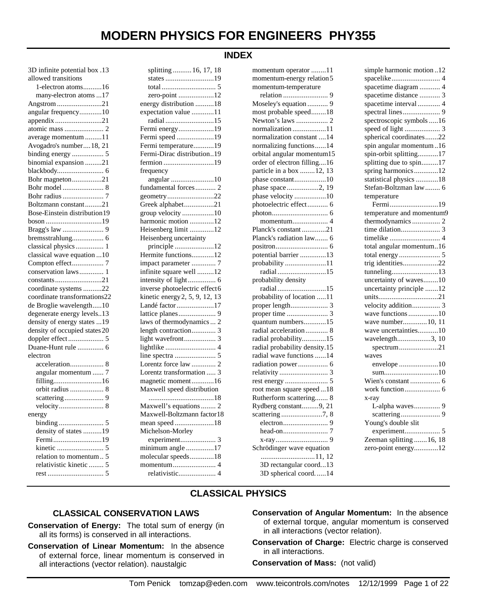#### **INDEX**

| 3D infinite potential box .13 |
|-------------------------------|
| allowed transitions           |
| 1-electron atoms16            |
| many-electron atoms 17        |
| Angstrom21                    |
| angular frequency10           |
| appendix21                    |
|                               |
| average momentum 11           |
| Avogadro's number18, 21       |
| binding energy  5             |
| binomial expansion 21         |
|                               |
| Bohr magneton21               |
|                               |
|                               |
| Boltzmann constant21          |
| Bose-Einstein distribution19  |
| boson 19                      |
|                               |
| bremsstrahlung 6              |
| classical physics  1          |
| classical wave equation  10   |
| Compton effect 7              |
| conservation laws 1           |
|                               |
| coordinate systems 22         |
| coordinate transformations22  |
| de Broglie wavelength10       |
| degenerate energy levels13    |
| density of energy states  19  |
| density of occupied states 20 |
|                               |
| Duane-Hunt rule  6            |
| electron                      |
| acceleration 8                |
| angular momentum  7           |
|                               |
| orbit radius  8               |
|                               |
|                               |
| energy                        |
|                               |
| density of states 19          |
| Fermi19                       |
|                               |
| relation to momentum<br>5     |
| relativistic kinetic  5       |
|                               |

| splitting  16, 17, 18          |
|--------------------------------|
| states 19                      |
|                                |
| zero-point 12                  |
| energy distribution 18         |
| expectation value 11           |
| radial15                       |
| Fermi energy19                 |
| Fermi speed 19                 |
| Fermi temperature19            |
| Fermi-Dirac distribution19     |
| fermion 19                     |
| frequency                      |
| angular 10                     |
| fundamental forces 2           |
| geometry22                     |
| Greek alphabet21               |
| group velocity 10              |
| harmonic motion 12             |
| Heisenberg limit 12            |
| Heisenberg uncertainty         |
| principle12                    |
| Hermite functions12            |
| impact parameter  7            |
| infinite square well 12        |
| intensity of light 6           |
| inverse photoelectric effect6  |
| kinetic energy 2, 5, 9, 12, 13 |
| Landé factor 17                |
|                                |
| laws of thermodynamics  2      |
| length contraction             |
| light wavefront 3              |
|                                |
|                                |
| Lorentz force law  2           |
| Lorentz transformation  3      |
| magnetic moment16              |
| Maxwell speed distribution     |
|                                |
| Maxwell's equations  2         |
| Maxwell-Boltzmann factor18     |
| mean speed18                   |
| Michelson-Morley               |
| experiment<br>3                |
| minimum angle 17               |
| molecular speeds18             |
|                                |
| relativistic 4                 |
|                                |

| momentum operator 11          |
|-------------------------------|
| momentum-energy relation5     |
| momentum-temperature          |
|                               |
| Moseley's equation  9         |
| most probable speed18         |
| Newton's laws  2              |
| normalization11               |
| normalization constant 14     |
| normalizing functions14       |
| orbital angular momentum15    |
| order of electron filling16   |
| particle in a box  12, 13     |
| phase constant10              |
| phase space2, 19              |
| phase velocity 10             |
| photoelectric effect 6        |
|                               |
| momentum 4                    |
| Planck's constant21           |
| Planck's radiation law 6      |
|                               |
| potential barrier 13          |
| probability 11                |
| radial15                      |
| probability density           |
| radial 15                     |
| probability of location 11    |
|                               |
|                               |
| quantum numbers15             |
| radial acceleration  8        |
| radial probability15          |
| radial probability density.15 |
| radial wave functions 14      |
|                               |
| radiation power 6             |
|                               |
|                               |
| root mean square speed18      |
| Rutherform scattering 8       |
| Rydberg constant9, 21         |
|                               |
|                               |
|                               |
|                               |
| Schrödinger wave equation     |
|                               |
| 3D rectangular coord13        |
| 3D spherical coord14          |

| simple harmonic motion12  |
|---------------------------|
|                           |
| spacetime diagram  4      |
| spacetime distance  3     |
| spacetime interval  4     |
|                           |
| spectroscopic symbols 16  |
|                           |
| spherical coordinates22   |
| spin angular momentum16   |
| spin-orbit splitting17    |
| splitting due to spin17   |
| spring harmonics12        |
| statistical physics 18    |
| Stefan-Boltzman law  6    |
| temperature               |
| Fermi19                   |
| temperature and momentum9 |
| thermodynamics 2          |
|                           |
|                           |
| total angular momentum16  |
|                           |
| trig identities22         |
| tunneling13               |
| uncertainty of waves10    |
| uncertainty principle 12  |
| units21                   |
| velocity addition 3       |
| wave functions 10         |
| wave number 10, 11        |
| wave uncertainties10      |
| wavelength3, 10           |
| $spectrum$ 21             |
| waves                     |
| envelope 10               |
| sum10                     |
| Wien's constant  6        |
|                           |
| x-ray                     |
| L-alpha waves 9           |
|                           |
| Young's double slit       |
|                           |
| Zeeman splitting  16, 18  |
| zero-point energy12       |
|                           |

### **CLASSICAL PHYSICS**

#### **CLASSICAL CONSERVATION LAWS**

**Conservation of Energy:** The total sum of energy (in all its forms) is conserved in all interactions.

- **Conservation of Linear Momentum:** In the absence of external force, linear momentum is conserved in all interactions (vector relation). naustalgic
- **Conservation of Angular Momentum:** In the absence of external torque, angular momentum is conserved in all interactions (vector relation).
- **Conservation of Charge:** Electric charge is conserved in all interactions.

**Conservation of Mass:** (not valid)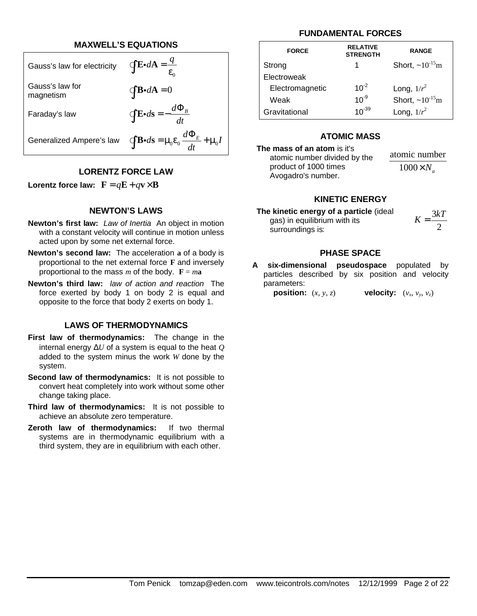#### **MAXWELL'S EQUATIONS**

| Gauss's law for electricity  | $\oint \mathbf{E} \cdot d\mathbf{A} = \frac{q}{\varepsilon_0}$                           |
|------------------------------|------------------------------------------------------------------------------------------|
| Gauss's law for<br>magnetism | $\oint \mathbf{B} \cdot d\mathbf{A} = 0$                                                 |
| Faraday's law                | $\oint \mathbf{E} \cdot d\mathbf{s} = -\frac{d \Phi_B}{dt}$                              |
| Generalized Ampere's law     | $\oint \mathbf{B} \cdot d\mathbf{s} = \mu_0 \varepsilon_0 \frac{d \Phi_E}{dt} + \mu_0 I$ |

#### **LORENTZ FORCE LAW**

**Lorentz force law:**  $\mathbf{F} = q\mathbf{E} + q\mathbf{v} \times \mathbf{B}$ 

#### **NEWTON'S LAWS**

- **Newton's first law:** *Law of Inertia*An object in motion with a constant velocity will continue in motion unless acted upon by some net external force.
- **Newton's second law:** The acceleration **a** of a body is proportional to the net external force **F** and inversely proportional to the mass  $m$  of the body.  $\mathbf{F} = m\mathbf{a}$
- **Newton's third law:** *law of action and reaction*The force exerted by body 1 on body 2 is equal and opposite to the force that body 2 exerts on body 1.

#### **LAWS OF THERMODYNAMICS**

- **First law of thermodynamics:** The change in the internal energy Δ*U* of a system is equal to the heat *Q* added to the system minus the work *W* done by the system.
- **Second law of thermodynamics:** It is not possible to convert heat completely into work without some other change taking place.
- **Third law of thermodynamics:** It is not possible to achieve an absolute zero temperature.
- **Zeroth law of thermodynamics:** If two thermal systems are in thermodynamic equilibrium with a third system, they are in equilibrium with each other.

#### **FUNDAMENTAL FORCES**

| <b>FORCE</b>    | <b>RELATIVE</b><br><b>STRENGTH</b> | <b>RANGE</b>             |
|-----------------|------------------------------------|--------------------------|
| Strong          | 1.                                 | Short, $\sim 10^{-15}$ m |
| Electroweak     |                                    |                          |
| Electromagnetic | $10^{-2}$                          | Long, $1/r^2$            |
| Weak            | $10^{-9}$                          | Short, $\sim 10^{-15}$ m |
| Gravitational   | $10^{-39}$                         | Long, $1/r^2$            |

#### **ATOMIC MASS**

#### **The mass of an atom** is it's atomic number divided by the product of 1000 times Avogadro's number.

atomic number  $1000 \times N$ <sub>a</sub>

#### **KINETIC ENERGY**

**The kinetic energy of a particle** (ideal gas) in equilibrium with its surroundings is:

3 2  $K = \frac{3kT}{2}$ 

#### **PHASE SPACE**

**A six-dimensional pseudospace** populated by particles described by six position and velocity parameters:

**position:**  $(x, y, z)$ 

, *v<sup>y</sup>* , *vz*)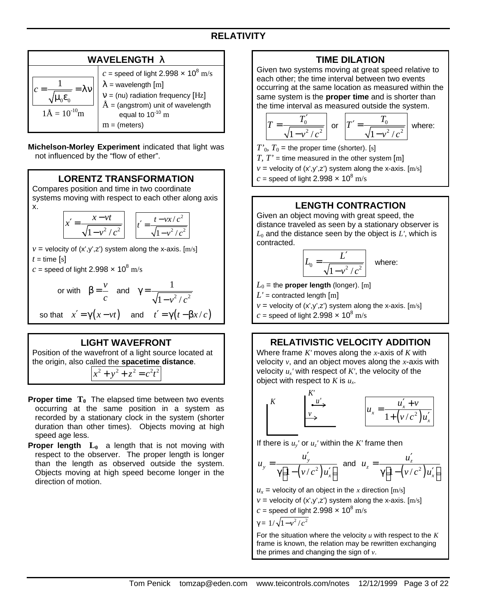# **WAVELENGTH l**

**Michelson-Morley Experiment** indicated that light was not influenced by the "flow of ether".

## **LORENTZ TRANSFORMATION**

Compares position and time in two coordinate systems moving with respect to each other along axis x.

$$
x' = \frac{x - vt}{\sqrt{1 - v^2/c^2}}
$$
 
$$
t' = \frac{t - vx/c^2}{\sqrt{1 - v^2/c^2}}
$$

 $v =$  velocity of  $(x', y', z')$  system along the x-axis.  $[m/s]$  $t =$ time [s]

*c* = speed of light 2.998  $\times$  10<sup>8</sup> m/s

or with 
$$
\beta = \frac{v}{c}
$$
 and  $\gamma = \frac{1}{\sqrt{1 - v^2/c^2}}$ 

so that  $x' = \gamma(x - vt)$  and  $t' = \gamma(t - \beta x/c)$ 

### **LIGHT WAVEFRONT**

Position of the wavefront of a light source located at the origin, also called the **spacetime distance**.

 $x^2 + y^2 + z^2 = c^2 t^2$ 

- **Proper time T0** The elapsed time between two events occurring at the same position in a system as recorded by a stationary clock in the system (shorter duration than other times). Objects moving at high speed age less.
- **Proper length L0** a length that is not moving with respect to the observer. The proper length is longer than the length as observed outside the system. Objects moving at high speed become longer in the direction of motion.

### **TIME DILATION**

Given two systems moving at great speed relative to each other; the time interval between two events occurring at the same location as measured within the same system is the **proper time** and is shorter than the time interval as measured outside the system.

$$
T = \frac{T'_0}{\sqrt{1 - v^2/c^2}}
$$
 or  $T' = \frac{T_0}{\sqrt{1 - v^2/c^2}}$  where:

 $T'_{0}$ ,  $T_{0}$  = the proper time (shorter). [s]

*T, T'* = time measured in the other system  $[m]$ 

 $v =$  velocity of  $(x', y', z')$  system along the x-axis.  $[m/s]$ 

*c* = speed of light 2.998  $\times$  10<sup>8</sup> m/s

### **LENGTH CONTRACTION**

Given an object moving with great speed, the distance traveled as seen by a stationary observer is  $L_0$  and the distance seen by the object is  $L'$ , which is contracted.

$$
L_0 = \frac{L'}{\sqrt{1 - v^2/c^2}}
$$
 where:

 $L_0$  = the **proper length** (longer). [m]

 $L'$  = contracted length  $[m]$ 

 $v =$  velocity of  $(x', y', z')$  system along the x-axis.  $[m/s]$ 

 $c$  = speed of light 2.998  $\times$  10<sup>8</sup> m/s

### **RELATIVISTIC VELOCITY ADDITION**

Where frame *K'* moves along the *x*-axis of *K* with velocity *v*, and an object moves along the *x*-axis with velocity *u<sup>x</sup> '* with respect of *K'*, the velocity of the object with respect to *K* is *u<sup>x</sup>* .

$$
\begin{vmatrix} K & \xrightarrow{\phantom{m}K'\\ \phantom{m}u' \end{vmatrix} \longrightarrow \begin{vmatrix} u_x = \frac{u'_x + v}{1 + (v/c^2)u'_x} \end{vmatrix}
$$

If there is  $u_y$ ' or  $u_z$ ' within the *K*' frame then

$$
u_y = \frac{u'_y}{\gamma[1-(v/c^2)u'_x]}
$$
 and  $u_z = \frac{u'_z}{\gamma[1-(v/c^2)u'_x]}$ 

 $u_x$  = velocity of an object in the *x* direction [m/s]  $v =$  velocity of  $(x', y', z')$  system along the x-axis.  $[m/s]$ *c* = speed of light 2.998  $\times$  10<sup>8</sup> m/s

$$
\gamma = 1/\sqrt{1 - v^2/c^2}
$$

For the situation where the velocity *u* with respect to the *K* frame is known, the relation may be rewritten exchanging the primes and changing the sign of *v*.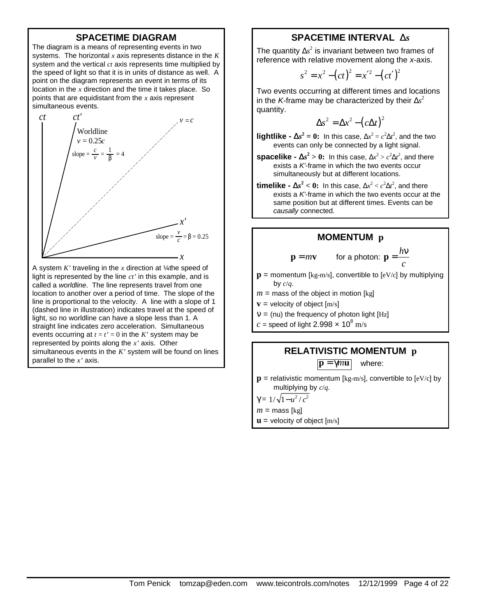#### **SPACETIME DIAGRAM**

The diagram is a means of representing events in two systems. The horizontal *x* axis represents distance in the *K* system and the vertical *ct* axis represents time multiplied by the speed of light so that it is in units of distance as well. A point on the diagram represents an event in terms of its location in the *x* direction and the time it takes place. So points that are equidistant from the *x* axis represent simultaneous events.



A system *K'* traveling in the *x* direction at ¼ the speed of light is represented by the line *ct'* in this example, and is called a *worldline*. The line represents travel from one location to another over a period of time. The slope of the line is proportional to the velocity. A line with a slope of 1 (dashed line in illustration) indicates travel at the speed of light, so no worldline can have a slope less than 1. A straight line indicates zero acceleration. Simultaneous events occurring at  $t = t' = 0$  in the *K*' system may be represented by points along the *x'* axis. Other simultaneous events in the *K'* system will be found on lines parallel to the *x'* axis.

## **SPACETIME INTERVAL D***s*

The quantity  $\Delta s^2$  is invariant between two frames of reference with relative movement along the *x*-axis.

$$
s^{2} = x^{2} - (ct)^{2} = x'^{2} - (ct')^{2}
$$

Two events occurring at different times and locations in the *K*-frame may be characterized by their Δ*s* 2 quantity.

$$
\Delta s^2 = \Delta x^2 - \left(c\Delta t\right)^2
$$

**lightlike -**  $\mathbf{D} s^2 = 0$ **:** In this case,  $\Delta x^2 = c^2 \Delta t^2$ , and the two events can only be connected by a light signal.

**spacelike -**  $\mathbf{D} s^2 > 0$ **:** In this case,  $\Delta x^2 > c^2 \Delta t^2$ , and there exists a *K'*-frame in which the two events occur simultaneously but at different locations.

**timelike -**  $\mathbf{D} s^2 < 0$ **:** In this case,  $\Delta x^2 < c^2 \Delta t^2$ , and there exists a *K'*-frame in which the two events occur at the same position but at different times. Events can be *causally* connected.

#### **MOMENTUM p**

$$
\mathbf{p} = m\mathbf{v}
$$
 for a photon:  $\mathbf{p} = \frac{h\mathbf{v}}{c}$ 

- $\mathbf{p}$  = momentum [kg-m/s], convertible to [eV/c] by multiplying by *c*/*q*.
- $m =$  mass of the object in motion [kg]
- **= velocity of object**  $[m/s]$
- $\mathbf{n}$  = (nu) the frequency of photon light [Hz]
- *c* = speed of light 2.998  $\times$  10<sup>8</sup> m/s

#### **RELATIVISTIC MOMENTUM p**  $\mathbf{p} = \gamma m \mathbf{u}$  where:

 $\mathbf{p}$  = relativistic momentum [kg-m/s], convertible to [eV/c] by multiplying by *c*/*q*.

$$
\gamma = 1/\sqrt{1 - u^2/c^2}
$$

 $m =$  mass [kg]

 $\mathbf{u}$  = velocity of object  $[m/s]$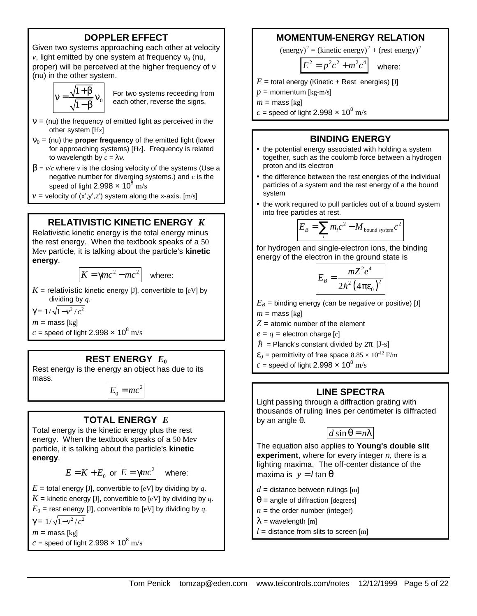## **DOPPLER EFFECT**

Given two systems approaching each other at velocity  $\nu$ , light emitted by one system at frequency  $n_0$  (nu, proper) will be perceived at the higher frequency of *n* (nu) in the other system.

$$
v = \frac{\sqrt{1+\beta}}{\sqrt{1-\beta}} v_0
$$

For two systems receeding from each other, reverse the signs.

- $\mathbf{n}$  = (nu) the frequency of emitted light as perceived in the other system [Hz]
- $n_0$  = (nu) the **proper frequency** of the emitted light (lower for approaching systems) [Hz]. Frequency is related to wavelength by *c* = λν.
- $\beta = v/c$  where *v* is the closing velocity of the systems (Use a negative number for diverging systems.) and *c* is the speed of light 2.998  $\times$  10<sup>8</sup> m/s
- $v =$  velocity of  $(x', y', z')$  system along the x-axis. [m/s]

#### **RELATIVISTIC KINETIC ENERGY** *K*

Relativistic kinetic energy is the total energy minus the rest energy. When the textbook speaks of a 50 Mev particle, it is talking about the particle's **kinetic energy**.

$$
K = \gamma mc^2 - mc^2
$$
 where:

 $K =$  relativistic kinetic energy [J], convertible to [eV] by dividing by *q*.

 $\gamma = 1/\sqrt{1-v^2/c^2}$ 

- $m =$  mass [kg]
- $c$  = speed of light 2.998  $\times$  10<sup>8</sup> m/s

### **REST ENERGY** *E***<sup>0</sup>**

Rest energy is the energy an object has due to its mass.

 $E_0 = mc^2$ 

# **TOTAL ENERGY** *E*

Total energy is the kinetic energy plus the rest energy. When the textbook speaks of a 50 Mev particle, it is talking about the particle's **kinetic energy**.

$$
E = K + E_0 \text{ or } E = \gamma mc^2 \quad \text{where:}
$$

 $E =$  total energy [J], convertible to [eV] by dividing by *q*.  $K$  = kinetic energy [J], convertible to [eV] by dividing by  $q$ .  $E_0$  = rest energy [J], convertible to [eV] by dividing by *q*.  $\gamma = 1/\sqrt{1-v^2/c^2}$  $m =$  mass [kg]

 $c$  = speed of light 2.998  $\times$  10<sup>8</sup> m/s

### **MOMENTUM-ENERGY RELATION**

 $(\text{energy})^2$  = (kinetic energy)<sup>2</sup> + (rest energy)<sup>2</sup>

$$
E^2 = p^2c^2 + m^2c^4
$$
 where

 $E =$  total energy (Kinetic + Rest energies) [J]

 $p =$  momentum [kg-m/s]

 $m =$  mass [kg]

 $c$  = speed of light 2.998  $\times$  10<sup>8</sup> m/s

#### **BINDING ENERGY**

- the potential energy associated with holding a system together, such as the coulomb force between a hydrogen proton and its electron
- the difference between the rest energies of the individual particles of a system and the rest energy of a the bound system
- the work required to pull particles out of a bound system into free particles at rest.

$$
E_B = \sum_i m_i c^2 - M_{\text{bound system}} c^2
$$

for hydrogen and single-electron ions, the binding energy of the electron in the ground state is

$$
E_B = \frac{mZ^2e^4}{2\hbar^2\left(4\pi\epsilon_0\right)^2}
$$

 $E_B$  = binding energy (can be negative or positive) [J]  $m =$  mass [kg]

 $Z =$  atomic number of the element

 $e = q$  = electron charge [c]

- $\hbar$  = Planck's constant divided by  $2\pi$  [J-s]
- $\epsilon_0$  = permittivity of free space  $8.85 \times 10^{-12}$  F/m
- $c$  = speed of light 2.998  $\times$  10<sup>8</sup> m/s

#### **LINE SPECTRA**

Light passing through a diffraction grating with thousands of ruling lines per centimeter is diffracted by an angle θ.



The equation also applies to **Young's double slit experiment**, where for every integer *n*, there is a lighting maxima. The off-center distance of the maxima is  $y = l \tan \theta$ 

 $d =$  distance between rulings [m]

- $\theta$  = angle of diffraction [degrees]
- $n =$  the order number (integer)
- $\lambda$  = wavelength [m]
- $l =$  distance from slits to screen [m]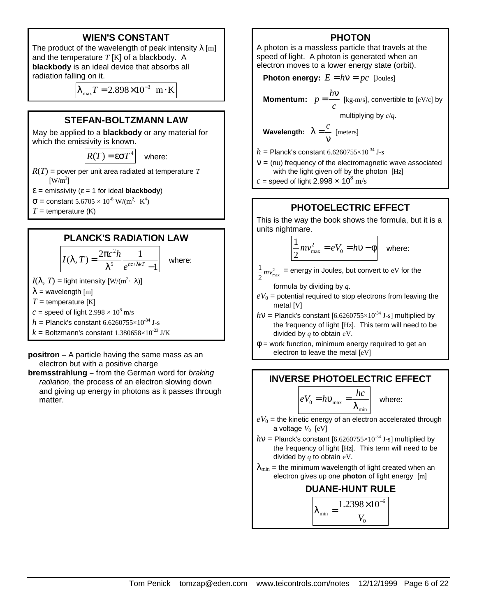### **WIEN'S CONSTANT**

The product of the wavelength of peak intensity  $\lambda$  [m] and the temperature *T* [K] of a blackbody. A **blackbody** is an ideal device that absorbs all radiation falling on it.

$$
\lambda_{\text{max}} T = 2.898 \times 10^{-3} \text{ m} \cdot \text{K}
$$

#### **STEFAN-BOLTZMANN LAW**

May be applied to a **blackbody** or any material for which the emissivity is known.

 $R(T) = \epsilon \sigma T^4$  where:

 $R(T)$  = power per unit area radiated at temperature *T*  $\text{[W/m}^2\text{]}$ 

 $\epsilon$  = emissivity ( $\epsilon$  = 1 for ideal **blackbody**)

 $σ = constant 5.6705 × 10<sup>-8</sup> W/(m<sup>2</sup>· K<sup>4</sup>)$ 

 $T =$  temperature (K)

#### **PLANCK'S RADIATION LAW**

$$
I(\lambda, T) = \frac{2\pi c^2 h}{\lambda^5} \frac{1}{e^{hc/\lambda kT} - 1}
$$
 where:  
\n $I(\lambda, T)$  = light intensity [W/(m<sup>2</sup>· λ)]  
\n $\lambda$  = wavelength [m]  
\n $T$  = temperature [K]  
\n $c$  = speed of light 2.998 × 10<sup>8</sup> m/s  
\n $h$  = Planck's constant 6.6260755×10<sup>-34</sup> J-s  
\n $k$  = Boltzmann's constant 1.380658×10<sup>-23</sup> J/K

**positron –** A particle having the same mass as an electron but with a positive charge

**bremsstrahlung –** from the German word for *braking radiation*, the process of an electron slowing down and giving up energy in photons as it passes through matter.

#### **PHOTON**

A photon is a massless particle that travels at the speed of light. A photon is generated when an electron moves to a lower energy state (orbit).

**Photon energy:**  $E = hv = pc$  [Joules]

Momentum:  $p = \frac{h}{h}$ *c*  $=\frac{h\nu}{\text{[kg-m/s]}}$ , convertible to [eV/c] by

multiplying by *c*/*q*.

**Wavelength:** 
$$
\lambda = \frac{c}{v}
$$
 [meters]

 $h =$  Planck's constant 6.6260755×10<sup>-34</sup> J-s

 **= (nu) frequency of the electromagnetic wave associated** with the light given off by the photon [Hz]

*c* = speed of light 2.998  $\times$  10<sup>8</sup> m/s

#### **PHOTOELECTRIC EFFECT**

This is the way the book shows the formula, but it is a units nightmare.

$$
\frac{1}{2}mv_{\text{max}}^2 = eV_0 = hv - \phi
$$
 where:

 $\frac{1}{2}mv_{\text{max}}^2$  $\frac{1}{2}mv_{\text{max}}^2$  = energy in Joules, but convert to eV for the

formula by dividing by *q*.

- $eV_0$  = potential required to stop electrons from leaving the metal [V]
- $hv =$  Planck's constant  $[6.6260755 \times 10^{-34}$  J-s] multiplied by the frequency of light [Hz]. This term will need to be divided by *q* to obtain eV.
- $\phi$  = work function, minimum energy required to get an electron to leave the metal [eV]

#### **INVERSE PHOTOELECTRIC EFFECT**

$$
\left| eV_0 = h v_{\text{max}} = \frac{hc}{\lambda_{\text{min}}} \right| \quad \text{where:}
$$

- $eV_0$  = the kinetic energy of an electron accelerated through a voltage  $V_0$  [eV]
- $hv =$  Planck's constant  $[6.6260755 \times 10^{-34}$  J-s] multiplied by the frequency of light [Hz]. This term will need to be divided by *q* to obtain eV.
- $\lambda_{\min}$  = the minimum wavelength of light created when an electron gives up one **photon** of light energy [m]

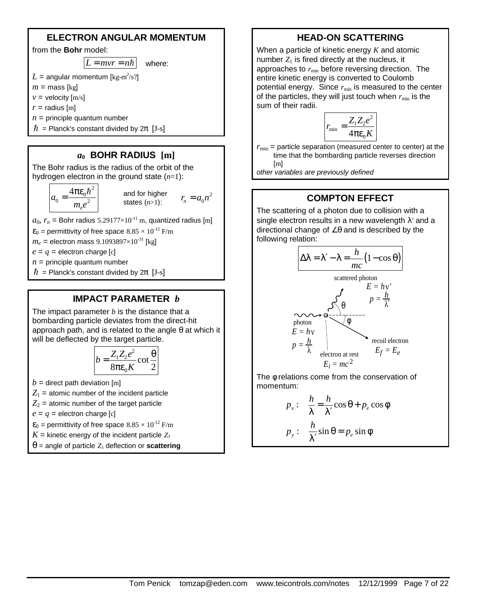#### **ELECTRON ANGULAR MOMENTUM**

from the **Bohr** model:

 $|L = mvr = n\hbar|$  where:

 $L$  = angular momentum [kg-m $^2$ /s?]

 $m =$  mass [kg]

 $v =$  velocity  $[m/s]$ 

 $r =$  radius [m]

- $n =$  principle quantum number
- $\hbar$  = Planck's constant divided by  $2\pi$  [J-s]

#### *a***0 BOHR RADIUS [m]**

The Bohr radius is the radius of the orbit of the hydrogen electron in the ground state (*n*=1):

$$
a_0 = \frac{4\pi\epsilon_0\hbar^2}{m_e e^2}
$$

and for higher states (*n*>1): 2  $r_n = a_0 n^2$ 

 $a_0$ ,  $r_n$  = Bohr radius 5.29177×10<sup>-11</sup> m, quantized radius [m]

 $\varepsilon_0$  = permittivity of free space  $8.85 \times 10^{-12}$  F/m

 $m_e$  = electron mass 9.1093897×10<sup>-31</sup> [kg]

 $e = q$  = electron charge [c]

 $n =$  principle quantum number

 $\hbar$  = Planck's constant divided by  $2\pi$  [J-s]

### **IMPACT PARAMETER** *b*

The impact parameter *b* is the distance that a bombarding particle deviates from the direct-hit approach path, and is related to the angle  $\theta$  at which it will be deflected by the target particle.

$$
b = \frac{Z_1 Z_2 e^2}{8\pi \varepsilon_0 K} \cot \frac{\theta}{2}
$$

 $b =$  direct path deviation [m]

 $Z_1$  = atomic number of the incident particle

 $Z_2$  = atomic number of the target particle

 $e = q$  = electron charge [c]

- $\varepsilon_0$  = permittivity of free space  $8.85 \times 10^{-12}$  F/m
- $K =$  kinetic energy of the incident particle  $Z_1$
- $\theta$  = angle of particle  $Z_1$  deflection or **scattering**

## **HEAD-ON SCATTERING**

When a particle of kinetic energy *K* and atomic number  $Z_1$  is fired directly at the nucleus, it approaches to  $r_{\text{min}}$  before reversing direction. The entire kinetic energy is converted to Coulomb potential energy. Since  $r_{min}$  is measured to the center of the particles, they will just touch when  $r_{\min}$  is the sum of their radii.

$$
r_{\min} = \frac{Z_1 Z_2 e^2}{4\pi \varepsilon_0 K}
$$

 $r_{\text{min}}$  = particle separation (measured center to center) at the time that the bombarding particle reverses direction [m]

*other variables are previously defined*

# **COMPTON EFFECT**

The scattering of a photon due to collision with a single electron results in a new wavelength λ*'* and a directional change of ∠θ and is described by the following relation:



The φ relations come from the conservation of momentum:

$$
p_x: \frac{h}{\lambda} = \frac{h}{\lambda'} \cos \theta + p_e \cos \phi
$$
  

$$
p_y: \frac{h}{\lambda'} \sin \theta = p_e \sin \phi
$$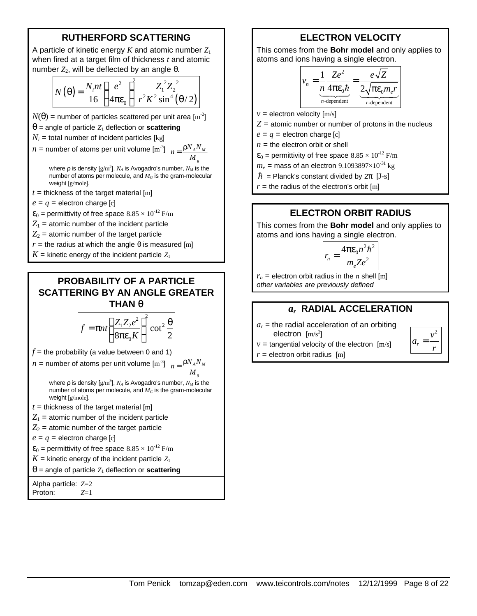### **RUTHERFORD SCATTERING**

A particle of kinetic energy *K* and atomic number *Z*<sup>1</sup> when fired at a target film of thickness *t* and atomic number  $Z_2$ , will be deflected by an angle θ.

$$
N(\theta) = \frac{N_i nt}{16} \left(\frac{e^2}{4\pi \varepsilon_0}\right)^2 \frac{Z_1^2 Z_2^2}{r^2 K^2 \sin^4(\theta/2)}
$$

 $N(\theta)$  = number of particles scattered per unit area [m<sup>-2</sup>]

- $\theta$  = angle of particle  $Z_1$  deflection or **scattering**
- $N_i$  = total number of incident particles [kg]

 $n =$  number of atoms per unit volume  $\left[\text{m}^3\right]$   $n = \frac{\rho N_A N_M}{M}$ 

*M*

*g*

where *ρ* is density [g/m<sup>3</sup>], *N<sub>A</sub>* is Avogadro's number, *N<sub>M</sub>* is the number of atoms per molecule, and *MG* is the gram-molecular weight [g/mole].

- $t =$  thickness of the target material [m]
- $e = q$  = electron charge [c]

 $\varepsilon_0$  = permittivity of free space  $8.85 \times 10^{-12}$  F/m

 $Z_1$  = atomic number of the incident particle

 $Z_2$  = atomic number of the target particle

- $r =$  the radius at which the angle  $\theta$  is measured [m]
- $K =$  kinetic energy of the incident particle  $Z_1$

#### **PROBABILITY OF A PARTICLE SCATTERING BY AN ANGLE GREATER THAN q**

$$
f = \pi nt \left(\frac{Z_1 Z_2 e^2}{8\pi \varepsilon_0 K}\right)^2 \cot^2 \frac{\theta}{2}
$$

 $f$  = the probability (a value between 0 and 1)

 $n =$  number of atoms per unit volume  $\left[\text{m}^3\right]$   $n = \frac{\rho N_A N_M}{M}$ 

*M*

*g*

where ρ is density [g/m<sup>3</sup>],  $N_A$  is Avogadro's number,  $N_M$  is the number of atoms per molecule, and *MG* is the gram-molecular weight [g/mole].

- $t =$  thickness of the target material  $[m]$
- $Z_1$  = atomic number of the incident particle

 $Z_2$  = atomic number of the target particle

- $e = q$  = electron charge [c]
- $\varepsilon_0$  = permittivity of free space  $8.85 \times 10^{-12}$  F/m

 $K =$  kinetic energy of the incident particle  $Z_1$ 

 $\theta$  = angle of particle  $Z_1$  deflection or **scattering** 

Alpha particle: *Z*=2 Proton: *Z*=1

## **ELECTRON VELOCITY**

This comes from the **Bohr model** and only applies to atoms and ions having a single electron.

$$
v_n = \underbrace{\frac{1}{n} \frac{Ze^2}{4\pi\epsilon_0\hbar}}_{n\text{-dependent}} = \underbrace{\frac{e\sqrt{Z}}{2\sqrt{\pi\epsilon_0m_e r}}}_{r\text{-dependent}}
$$

 $v =$  electron velocity  $[m/s]$ 

 $Z =$  atomic number or number of protons in the nucleus

 $e = q$  = electron charge [c]

 $n =$  the electron orbit or shell

 $\varepsilon_0$  = permittivity of free space  $8.85 \times 10^{-12}$  F/m

 $m_e$  = mass of an electron 9.1093897×10<sup>-31</sup> kg

 $\hbar$  = Planck's constant divided by  $2\pi$  [J-s]

 $r =$  the radius of the electron's orbit [m]

#### **ELECTRON ORBIT RADIUS**

This comes from the **Bohr model** and only applies to atoms and ions having a single electron.

$$
r_n = \frac{4\pi\epsilon_0 n^2 h^2}{m_e Z e^2}
$$

 $r_n$  = electron orbit radius in the *n* shell [m] *other variables are previously defined*

#### *ar*  **RADIAL ACCELERATION**

 $a_r$  = the radial acceleration of an orbiting electron  $[m/s^2]$ 

 $v =$  tangential velocity of the electron  $[m/s]$ 

 $r =$  electron orbit radius  $[m]$ 

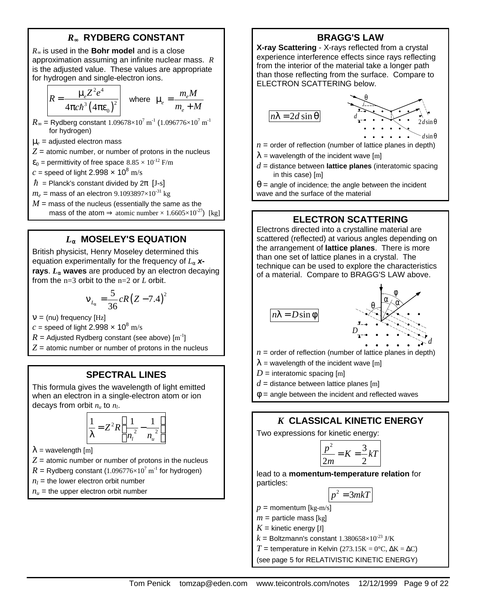## *R***¥ RYDBERG CONSTANT**

*R*∞ is used in the **Bohr model** and is a close approximation assuming an infinite nuclear mass. *R* is the adjusted value. These values are appropriate for hydrogen and single-electron ions.

$$
R = \frac{\mu_e Z^2 e^4}{4\pi c \hbar^3 (4\pi \varepsilon_0)^2}
$$
 where  $\mu_e = \frac{m_e M}{m_e + M}$ 

- $R_{\infty}$  = Rydberg constant  $1.09678\times10^{7}$  m<sup>-1</sup> ( $1.096776\times10^{7}$  m<sup>-1</sup> for hydrogen)
- $\mu_e$  = adjusted electron mass
- $Z =$  atomic number, or number of protons in the nucleus
- $\varepsilon_0$  = permittivity of free space  $8.85 \times 10^{-12}$  F/m
- $c$  = speed of light 2.998  $\times$  10<sup>8</sup> m/s
- $\hbar$  = Planck's constant divided by  $2\pi$  [J-s]

 $m_e$  = mass of an electron 9.1093897×10<sup>-31</sup> kg

 $M =$  mass of the nucleus (essentially the same as the mass of the atom ⇒ atomic number  $\times$  1.6605 $\times$ 10<sup>-27</sup>) [kg]

#### *L***a MOSELEY'S EQUATION**

British physicist, Henry Moseley determined this equation experimentally for the frequency of *L*<sup>α</sup> *x***rays**. *L***a waves** are produced by an electron decaying from the n=3 orbit to the n=2 or *L* orbit.

$$
v_{L_{\alpha}} = \frac{5}{36} cR (Z - 7.4)^2
$$

 $n = (nu)$  frequency [Hz]

*c* = speed of light 2.998  $\times$  10<sup>8</sup> m/s

 $R =$  Adjusted Rydberg constant (see above)  $\text{[m}^{\text{-}1}\text{]}$ 

 $Z =$  atomic number or number of protons in the nucleus

#### **SPECTRAL LINES**

This formula gives the wavelength of light emitted when an electron in a single-electron atom or ion decays from orbit *nu* to *n<sup>l</sup>* .

$$
\frac{1}{\lambda} = Z^2 R \left( \frac{1}{n_i^2} - \frac{1}{n_u^2} \right)
$$

 $\lambda$  = wavelength [m]

 $Z =$  atomic number or number of protons in the nucleus

$$
R = \text{Rydberg constant } (1.096776 \times 10^7 \text{ m}^{-1} \text{ for hydrogen})
$$

 $n_l$  = the lower electron orbit number

 $n<sub>u</sub>$  = the upper electron orbit number

## **BRAGG'S LAW**

**X-ray Scattering** - X-rays reflected from a crystal experience interference effects since rays reflecting from the interior of the material take a longer path than those reflecting from the surface. Compare to ELECTRON SCATTERING below.

*n d* λ = θ 2 sin *<sup>d</sup>* θ 2*d*sin θ *d*sin θ

- $n =$  order of reflection (number of lattice planes in depth)
- $\lambda$  = wavelength of the incident wave [m]
- *d* = distance between **lattice planes** (interatomic spacing in this case) [m]

 $\theta$  = angle of incidence; the angle between the incident wave and the surface of the material

## **ELECTRON SCATTERING**

Electrons directed into a crystalline material are scattered (reflected) at various angles depending on the arrangement of **lattice planes**. There is more than one set of lattice planes in a crystal. The technique can be used to explore the characteristics of a material. Compare to BRAGG'S LAW above.



- $n =$  order of reflection (number of lattice planes in depth)
- $\lambda$  = wavelength of the incident wave [m]
- $D =$  interatomic spacing [m]
- $d$  = distance between lattice planes [m]

 $\phi$  = angle between the incident and reflected waves

# *K* **CLASSICAL KINETIC ENERGY**

Two expressions for kinetic energy:

$$
\frac{p^2}{2m} = K = \frac{3}{2}kT
$$

lead to a **momentum-temperature relation** for particles:

$$
p^2 = 3mkT
$$

 $p =$  momentum [kg-m/s]

 $m =$  particle mass [kg]

- $K =$  kinetic energy [J]
- $k =$  Boltzmann's constant 1.380658×10<sup>-23</sup> J/K

*T* = temperature in Kelvin (273.15K =  $0^{\circ}$ C,  $\Delta$ K =  $\Delta$ C)

(see page 5 for RELATIVISTIC KINETIC ENERGY)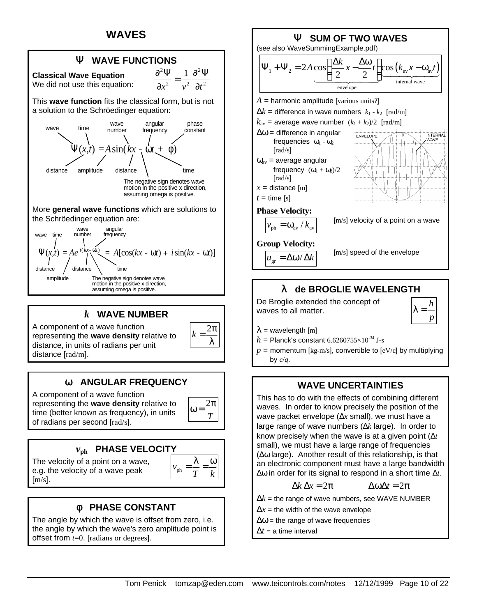# **WAVES**



A component of a wave function representing the **wave density** relative to distance, in units of radians per unit distance [rad/m].



A component of a wave function representing the **wave density** relative to time (better known as frequency), in units of radians per second [rad/s].

### *v***ph PHASE VELOCITY**

The velocity of a point on a wave, e.g. the velocity of a wave peak  $[m/s]$ .



2 π

2 π *T*  $\omega =$ 

*k* = λ

# **f PHASE CONSTANT**

The angle by which the wave is offset from zero, i.e. the angle by which the wave's zero amplitude point is offset from *t*=0. [radians or degrees].



# **l de BROGLIE WAVELENGTH**

De Broglie extended the concept of waves to all matter.



 $\lambda$  = wavelength [m]

- $h =$  Planck's constant 6.6260755 $\times$ 10<sup>-34</sup> J-s
- $p =$  momentum [kg-m/s], convertible to [eV/c] by multiplying by *c*/*q*.

### **WAVE UNCERTAINTIES**

This has to do with the effects of combining different waves. In order to know precisely the position of the wave packet envelope (Δ*x* small), we must have a large range of wave numbers (Δ*k* large). In order to know precisely when the wave is at a given point (Δ*t* small), we must have a large range of frequencies (Δω large). Another result of this relationship, is that an electronic component must have a large bandwidth Δω in order for its signal to respond in a short time Δ*t*.

$$
\Delta k \, \Delta x = 2\pi \qquad \Delta \omega \Delta t = 2\pi
$$

 $\Delta k$  = the range of wave numbers, see WAVE NUMBER

- $\Delta x$  = the width of the wave envelope
- $\Delta \omega$  = the range of wave frequencies
- $\Delta t$  = a time interval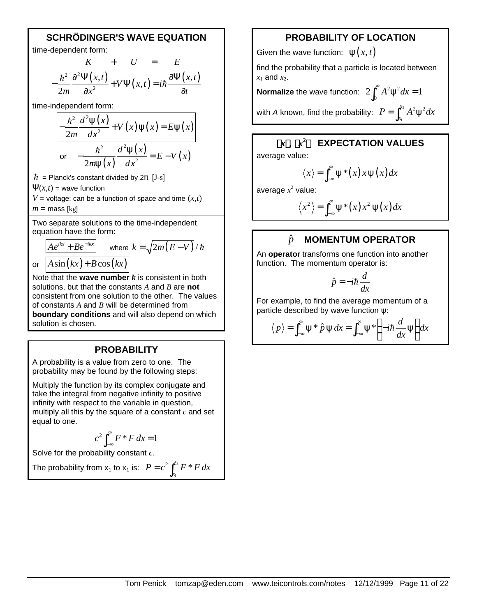### **SCHRÖDINGER'S WAVE EQUATION**

time-dependent form:

$$
K + U = E
$$
  

$$
-\frac{\hbar^2}{2m}\frac{\partial^2 \Psi(x,t)}{\partial x^2} + V\Psi(x,t) = i\hbar \frac{\partial \Psi(x,t)}{\partial t}
$$

time-independent form:

$$
-\frac{\hbar^2}{2m}\frac{d^2\psi(x)}{dx^2} + V(x)\psi(x) = E\psi(x)
$$
  
or 
$$
-\frac{\hbar^2}{2m\psi(x)}\frac{d^2\psi(x)}{dx^2} = E - V(x)
$$

 $\hbar$  = Planck's constant divided by  $2\pi$  [J-s]

 $\Psi(x,t)$  = wave function

 $V =$  voltage; can be a function of space and time  $(x, t)$  $m =$  mass [kg]

Two separate solutions to the time-independent equation have the form:

$$
\frac{Ae^{ikx} + Be^{-ikx}}{A\sin(kx) + B\cos(kx)}
$$
 where  $k = \sqrt{2m(E-V)}/\hbar$ 

Note that the **wave number** *k* is consistent in both solutions, but that the constants *A* and *B* are **not** consistent from one solution to the other. The values of constants *A* and *B* will be determined from **boundary conditions** and will also depend on which solution is chosen.

#### **PROBABILITY**

A probability is a value from zero to one.The probability may be found by the following steps:

Multiply the function by its complex conjugate and take the integral from negative infinity to positive infinity with respect to the variable in question, multiply all this by the square of a constant *c* and set equal to one.

$$
c^2 \int_{-\infty}^{\infty} F^* F dx = 1
$$

Solve for the probability constant *c*.

The probability from  $x_1$  to  $x_1$  is:  $P = c^2 \int_0^{x_2}$ 1  $^{2}\int^{x_{2}}F^{*}$  $P = c^2 \int_{x_1}^{x_2} F^* F dx$ 

### **PROBABILITY OF LOCATION**

Given the wave function:  $\psi(x, t)$ 

find the probability that a particle is located between  $x_1$  and  $x_2$ .

**Normalize** the wave function:  $2 \int_0^\infty A^2 \psi^2 dx = 1$ 

with *A* known, find the probability:  $P = \int^{x_2}$  $x_2$   $A^2$ **<sub>116</sub><sup>2</sup>**  $P = \int_{x_1}^{x_2} A^2 \psi^2 dx$ 

## **á***x***ñ, á***x* **2 ñ EXPECTATION VALUES**

1

average value:

$$
\langle x \rangle = \int_{-\infty}^{\infty} \psi^*(x) x \psi(x) dx
$$

average  $x^2$  value:

$$
\langle x^2 \rangle = \int_{-\infty}^{\infty} \psi^*(x) x^2 \psi(x) dx
$$

#### *p*ˆ **MOMENTUM OPERATOR**

An **operator** transforms one function into another function. The momentum operator is:

$$
\hat{p} = -i\hbar \frac{d}{dx}
$$

For example, to find the average momentum of a particle described by wave function  $\psi$ :

$$
\langle p \rangle = \int_{-\infty}^{\infty} \psi^* \hat{p} \psi dx = \int_{-\infty}^{\infty} \psi^* \left( -i \hbar \frac{d}{dx} \psi \right) dx
$$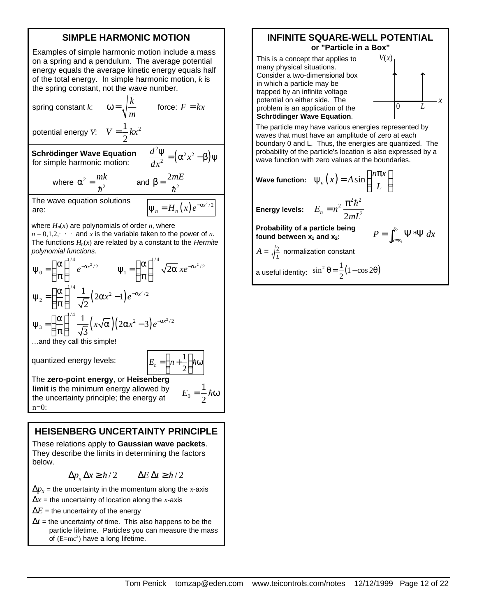### **SIMPLE HARMONIC MOTION**

Examples of simple harmonic motion include a mass on a spring and a pendulum. The average potential energy equals the average kinetic energy equals half of the total energy. In simple harmonic motion, *k* is the spring constant, not the wave number.

> *k m*

 $\omega = \sqrt{\frac{k}{r}}$  force:  $F = kx$ 

spring constant *k*:

potential energy *V*:  $V = \frac{1}{2}kx^2$ 

2  $V = \frac{1}{2}kx$ 

**Schrödinger Wave Equation** for simple harmonic motion:

$$
\frac{d^2\Psi}{dx^2} = \left(\alpha^2 x^2 - \beta\right)
$$

 $\mathbf{0}$ 

1  $E_0 = \frac{1}{2} \hbar \omega$ 

 $\Psi$ 

where  $\alpha^2 = \frac{m\kappa}{\hbar^2}$  $\alpha^2 = \frac{mk}{\sqrt{2}}$  $\frac{mk}{\hbar^2}$  and  $\beta = \frac{2mE}{\hbar^2}$ h

The wave equation solutions are:  $\psi_n = H_n(x) e^{-\alpha x^2/2}$ 

where  $H_n(x)$  are polynomials of order *n*, where

 $n = 0, 1, 2, \cdots$  and *x* is the variable taken to the power of *n*. The functions  $H_n(x)$  are related by a constant to the *Hermite polynomial functions*.

$$
\Psi_0 = \left(\frac{\alpha}{\pi}\right)^{1/4} e^{-\alpha x^2/2} \qquad \Psi_1 = \left(\frac{\alpha}{\pi}\right)^{1/4} \sqrt{2\alpha} x e^{-\alpha x^2/2}
$$

$$
\Psi_2 = \left(\frac{\alpha}{\pi}\right)^{1/4} \frac{1}{\sqrt{2}} \left(2\alpha x^2 - 1\right) e^{-\alpha x^2/2}
$$

$$
\Psi_3 = \left(\frac{\alpha}{\pi}\right)^{1/4} \frac{1}{\sqrt{3}} \left(x\sqrt{\alpha}\right) \left(2\alpha x^2 - 3\right) e^{-\alpha x^2/2}
$$
...and they call this simple!  
quantized energy levels: 
$$
E_n = \left(n + \frac{1}{2}\right) \hbar \omega
$$

The **zero-point energy**, or **Heisenberg limit** is the minimum energy allowed by the uncertainty principle; the energy at

n=0:

**HEISENBERG UNCERTAINTY PRINCIPLE**

These relations apply to **Gaussian wave packets**. They describe the limits in determining the factors below.

$$
\Delta p_x \Delta x \ge \hbar/2 \qquad \Delta E \Delta t \ge \hbar/2
$$

 $\Delta p_x$  = the uncertainty in the momentum along the *x*-axis

- $\Delta x$  = the uncertainty of location along the *x*-axis
- $\Delta E$  = the uncertainty of the energy
- $\Delta t$  = the uncertainty of time. This also happens to be the particle lifetime. Particles you can measure the mass of  $(E=mc^2)$  have a long lifetime.

#### **INFINITE SQUARE-WELL POTENTIAL or "Particle in a Box"**



The particle may have various energies represented by waves that must have an amplitude of zero at each boundary 0 and L. Thus, the energies are quantized. The probability of the particle's location is also expressed by a wave function with zero values at the boundaries.

**Wave function:**  $\psi_n(x) = A \sin\left(\frac{n\pi x}{L}\right)$ 

**found between**  $x_1$  **and**  $x_2$ **:** 

$$
=A\sin\left(\frac{n\pi x}{L}\right)
$$

$$
=2\pi^{2}\hbar^{2}
$$

**Energy levels:**

 $\sqrt{2}$ 

$$
E_n = n^2 \frac{\pi^2 \hbar^2}{2mL^2}
$$

**Probability of a particle being**  2  $\sum_{i=x_1}^{x_2} \Psi^*$  $P = \int_{x=x_1}^{x_2} \Psi^* \Psi \, dx$ 

$$
A = \sqrt{\frac{2}{L}}
$$
 normalization constant  
a useful identity:  $\sin^2 \theta = \frac{1}{2}(1 - \cos 2\theta)$ 

Tom Penick tomzap@eden.com www.teicontrols.com/notes 12/12/1999 Page 12 of 22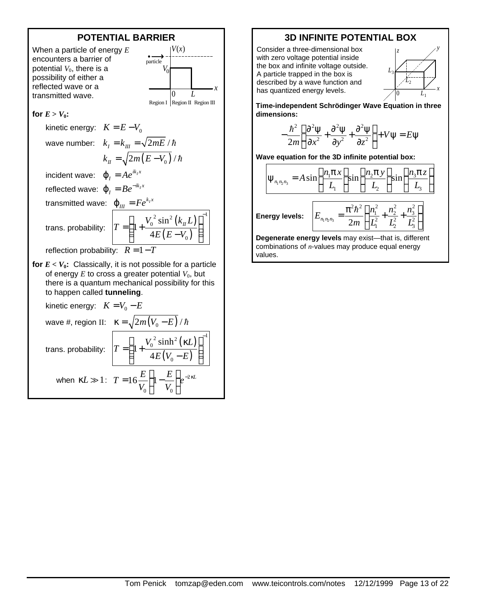

### **3D INFINITE POTENTIAL BOX**

Consider a three-dimensional box with zero voltage potential inside the box and infinite voltage outside. A particle trapped in the box is described by a wave function and has quantized energy levels.



**Time-independent Schrödinger Wave Equation in three dimensions:**

$$
-\frac{\hbar^2}{2m}\left(\frac{\partial^2 \psi}{\partial x^2} + \frac{\partial^2 \psi}{\partial y^2} + \frac{\partial^2 \psi}{\partial z^2}\right) + V \psi = E \psi
$$

**Wave equation for the 3D infinite potential box:**

$$
\Psi_{n_1 n_2 n_3} = A \sin\left(\frac{n_1 \pi x}{L_1}\right) \sin\left(\frac{n_2 \pi y}{L_2}\right) \sin\left(\frac{n_3 \pi z}{L_3}\right)
$$
  
Energy levels: 
$$
E_{n_1 n_2 n_3} = \frac{\pi^2 \hbar^2}{2m} \left(\frac{n_1^2}{L_1^2} + \frac{n_2^2}{L_2^2} + \frac{n_3^2}{L_3^2}\right)
$$

**Degenerate energy levels** may exist—that is, different combinations of *n*-values may produce equal energy values.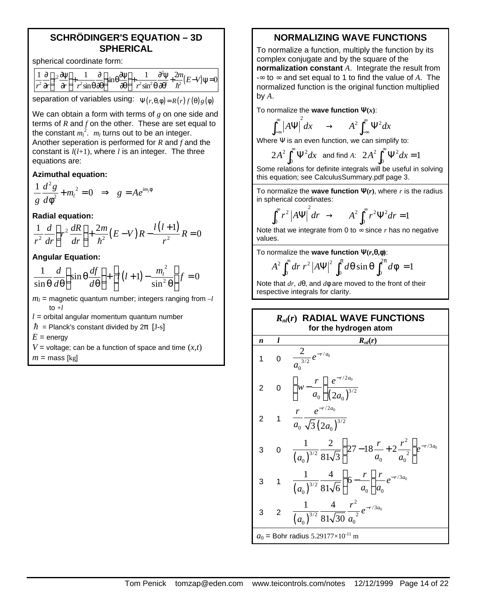#### **SCHRÖDINGER'S EQUATION – 3D SPHERICAL**

spherical coordinate form:

| $1 \partial (\partial \psi)$                                                                                                                                                                                                                                                                                                                                                                                                                                                                                                                                                                                                                                                                                   | $\begin{bmatrix} 1 & \partial \end{bmatrix}$ | $(\omega_0 \partial \psi)$ 1 $\partial^2 \psi$ |  | $\gamma_{m} = v_{\parallel}$ |
|----------------------------------------------------------------------------------------------------------------------------------------------------------------------------------------------------------------------------------------------------------------------------------------------------------------------------------------------------------------------------------------------------------------------------------------------------------------------------------------------------------------------------------------------------------------------------------------------------------------------------------------------------------------------------------------------------------------|----------------------------------------------|------------------------------------------------|--|------------------------------|
| $\left \overrightarrow{r} \cdot \overrightarrow{\partial r}\right ' \left \overrightarrow{\partial r}\right  \left \overrightarrow{r} \cdot \sin \theta \cdot \overrightarrow{\partial \theta}\right  \sin \theta \cdot \cos \theta \cdot \cos \theta \cdot \cos \theta \cdot \sin \theta \cdot \cos \theta \cdot \sin \theta \cdot \cos \theta \cdot \cos \theta \cdot \cos \theta \cdot \cos \theta \cdot \cos \theta \cdot \cos \theta \cdot \cos \theta \cdot \cos \theta \cdot \cos \theta \cdot \cos \theta \cdot \cos \theta \cdot \cos \theta \cdot \cos \theta \cdot \cos \theta \cdot \cos \theta \cdot \cos \theta \cdot \cos \theta \cdot \cos \theta \cdot \cos \theta \cdot \cos \theta \cdot \$ |                                              |                                                |  |                              |

separation of variables using:  $\Psi(r, \theta, \phi) = R(r) f(\theta) g(\phi)$ 

We can obtain a form with terms of *g* on one side and terms of *R* and *f* on the other. These are set equal to the constant  $m_l^2$ .  $m_l$  turns out to be an integer. Another seperation is performed for *R* and *f* and the constant is *l*(*l*+1), where *l* is an integer. The three equations are:

**Azimuthal equation:**

$$
\frac{1}{g}\frac{d^2g}{d\phi^2} + m_l^2 = 0 \implies g = Ae^{im_l\phi}
$$

**Radial equation:**

$$
\frac{1}{r^2}\frac{d}{dr}\left(r^2\frac{dR}{dr}\right) + \frac{2m}{\hbar^2}(E-V)R - \frac{l(l+1)}{r^2}R = 0
$$

**Angular Equation:**

$$
\frac{1}{\sin\theta}\frac{d}{d\theta}\left(\sin\theta\frac{df}{d\theta}\right) + \left[l(l+1) - \frac{m_l^2}{\sin^2\theta}\right]f = 0
$$

- $m_l$  = magnetic quantum number; integers ranging from  $-l$  $to +l$
- $l =$  orbital angular momentum quantum number
- $\hbar$  = Planck's constant divided by  $2\pi$  [J-s]
- $E =$  energy
- $V =$  voltage; can be a function of space and time  $(x, t)$

 $m =$  mass [kg]

### **NORMALIZING WAVE FUNCTIONS**

To normalize a function, multiply the function by its complex conjugate and by the square of the **normalization constant** *A*. Integrate the result from -∞ to ∞ and set equal to 1 to find the value of *A*. The normalized function is the original function multiplied by *A*.

To normalize the **wave function**  $\mathbf{Y}(x)$ **:** 

$$
\int_{-\infty}^{\infty} \left| A\Psi \right|^2 dx \quad \to \quad A^2 \int_{-\infty}^{\infty} \Psi^2 dx
$$

Where Ψ is an even function, we can simplify to:

2  $\int_{0}^{\infty}$   $\mathbf{U}$   $^{2}$  $2A^2 \int_0^\infty \Psi^2 dx$  and find *A*:  $2A^2 \int_0^\infty \Psi^2 dx$  $2A^2 \int_0^\infty \Psi^2 dx = 1$ 

Some relations for definite integrals will be useful in solving this equation; see CalculusSummary.pdf page 3.

To normalize the **wave function**  $\mathbf{Y}(r)$ , where *r* is the radius in spherical coordinates:

$$
\int_0^\infty r^2 \left| A \Psi \right|^2 dr \to A^2 \int_0^\infty r^2 \Psi^2 dr = 1
$$

Note that we integrate from 0 to  $\infty$  since  $r$  has no negative values.

To normalize the **wave function Y(***r***,q,f)**:

$$
A^2 \int_0^{\infty} dr \ r^2 |A \Psi|^2 \int_0^{\pi} d\theta \sin \theta \int_0^{2\pi} d\phi = 1
$$

Note that *dr*, *d*θ, and *d*φ are moved to the front of their respective integrals for clarity.

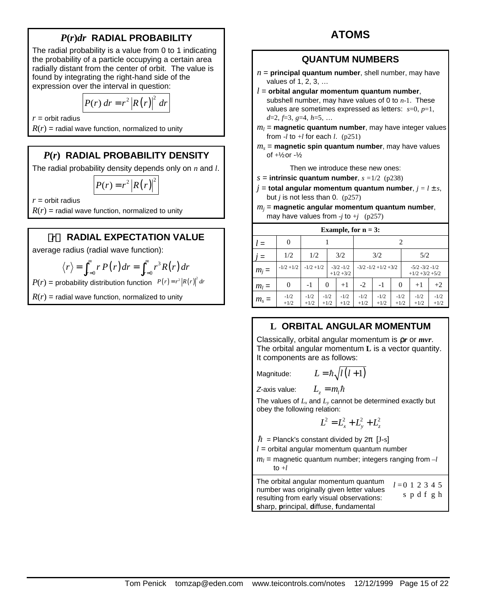# *P***(***r***)***dr* **RADIAL PROBABILITY**

The radial probability is a value from 0 to 1 indicating the probability of a particle occupying a certain area radially distant from the center of orbit. The value is found by integrating the right-hand side of the expression over the interval in question:

$$
P(r) dr = r^2 |R(r)|^2 dr
$$

 $r =$  orbit radius

 $R(r)$  = radial wave function, normalized to unity

# *P***(***r***) RADIAL PROBABILITY DENSITY**

The radial probability density depends only on *n* and *l*.

$$
P(r) = r^2 |R(r)|^2
$$

 $r =$  orbit radius

 $R(r)$  = radial wave function, normalized to unity

## **á***r***ñ RADIAL EXPECTATION VALUE**

average radius (radial wave function):

$$
\langle r \rangle = \int_{r=0}^{\infty} r P(r) dr = \int_{r=0}^{\infty} r^3 R(r) dr
$$

 $P(r) =$  probability distribution function  $P(r) = r^2 |R(r)|^2 dr$ 

 $R(r)$  = radial wave function, normalized to unity

# **ATOMS**

#### **QUANTUM NUMBERS**

- $n =$  **principal quantum number**, shell number, may have values of 1, 2, 3, …
- *l* = **orbital angular momentum quantum number**, subshell number, may have values of 0 to *n*-1. These values are sometimes expressed as letters: *s*=0, *p*=1, *d*=2, *f*=3, *g*=4, *h*=5, …
- $m_l$  = **magnetic quantum number**, may have integer values from  $-l$  to  $+l$  for each *l*. (p251)
- *ms* = **magnetic spin quantum number**, may have values of +½ or -½

Then we introduce these new ones:

- $s =$  **intrinsic quantum number**,  $s = 1/2$  (p238)
- $j =$  **total angular momentum quantum number**,  $j = l \pm s$ , but *j* is not less than 0. (p257)
- *mj* = **magnetic angular momentum quantum number**, may have values from  $-i$  to  $+i$  (p257)

| Example, for $n = 3$ : |                  |                  |                  |                             |  |                  |                  |                          |  |                  |                                      |  |  |
|------------------------|------------------|------------------|------------------|-----------------------------|--|------------------|------------------|--------------------------|--|------------------|--------------------------------------|--|--|
| $l =$                  | 0                |                  |                  |                             |  |                  |                  | 2                        |  |                  |                                      |  |  |
| $=$                    | 1/2              |                  | 1/2<br>3/2       |                             |  |                  | 3/2              |                          |  | 5/2              |                                      |  |  |
| $m_i =$                | $-1/2 + 1/2$     | $-1/2 + 1/2$     |                  | $-3/2 - 1/2$<br>$+1/2 +3/2$ |  |                  |                  | $-3/2 - 1/2 + 1/2 + 3/2$ |  |                  | $-5/2 -3/2 -1/2$<br>$+1/2 +3/2 +5/2$ |  |  |
| $m_l =$                | 0                | $-1$             | $\theta$         | $+1$                        |  | $-2$             | $-1$             | $\theta$                 |  | $+1$             | $+2$                                 |  |  |
| $m_s =$                | $-1/2$<br>$+1/2$ | $-1/2$<br>$+1/2$ | $-1/2$<br>$+1/2$ | $-1/2$<br>$+1/2$            |  | $-1/2$<br>$+1/2$ | $-1/2$<br>$+1/2$ | $-1/2$<br>$+1/2$         |  | $-1/2$<br>$+1/2$ | $-1/2$<br>$+1/2$                     |  |  |

# **L ORBITAL ANGULAR MOMENTUM**

Classically, orbital angular momentum is **r***r* or *mvr*. The orbital angular momentum **L** is a vector quantity. It components are as follows:

Magnitude:  $L$ 

$$
= \hbar \sqrt{l(l+1)}
$$

*Z*-axis value:  $L_z = m_l \hbar$ 

The values of  $L_x$  and  $L_y$  cannot be determined exactly but obey the following relation:

$$
L^2 = L_x^2 + L_y^2 + L_z^2
$$

 $\hbar$  = Planck's constant divided by  $2\pi$  [J-s]

- $l =$  orbital angular momentum quantum number
- $m_l$  = magnetic quantum number; integers ranging from  $-l$ to  $+l$

The orbital angular momentum quantum number was originally given letter values resulting from early visual observations: **s**harp, **p**rincipal, **d**iffuse, **f**undamental  $l = 0$  1 2 3 4 5 s p d f g h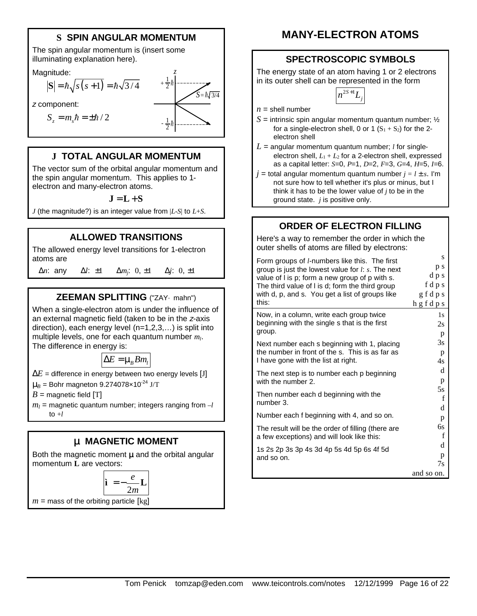# **S SPIN ANGULAR MOMENTUM**

The spin angular momentum is (insert some illuminating explanation here).

Magnitude:

$$
|\mathbf{S}| = \hbar \sqrt{s(s+1)} = \hbar \sqrt{3/4}
$$
  
\n
$$
\mathbf{z}
$$
 component:  
\n
$$
S_z = m_s \hbar = \pm \hbar / 2
$$

*z*

## **J TOTAL ANGULAR MOMENTUM**

The vector sum of the orbital angular momentum and the spin angular momentum. This applies to 1 electron and many-electron atoms.

#### $J = L + S$

*J* (the magnitude?) is an integer value from |*L*-*S*| to *L*+*S*.

#### **ALLOWED TRANSITIONS**

The allowed energy level transitions for 1-electron atoms are

 $\Delta n$ : any  $\Delta l$ :  $\pm 1$   $\Delta m$ *j*: 0,  $\pm 1$ : 0, ±1 Δ*j*: 0, ±1

### **ZEEMAN SPLITTING** ("ZAY· mahn")

When a single-electron atom is under the influence of an external magnetic field (taken to be in the *z*-axis direction), each energy level (n=1,2,3,…) is split into multiple levels, one for each quantum number *m<sup>l</sup>* . The difference in energy is:

$$
\Delta E = \mu_B B m_l
$$

 $\Delta E$  = difference in energy between two energy levels [J]

 $\mu_B$  = Bohr magneton 9.274078×10<sup>-24</sup> J/T

 $B =$  magnetic field  $[T]$ 

 $m_l$  = magnetic quantum number; integers ranging from  $-l$ to  $+l$ 

#### **m MAGNETIC MOMENT**

Both the magnetic moment **mand** the orbital angular momentum **L** are vectors:

$$
\mathbf{\hat{i}} = -\frac{e}{2m}\mathbf{L}
$$

 $m =$  mass of the orbiting particle [kg]

# **MANY-ELECTRON ATOMS**

### **SPECTROSCOPIC SYMBOLS**

The energy state of an atom having 1 or 2 electrons in its outer shell can be represented in the form



- $n =$ shell number
- $S =$  intrinsic spin angular momentum quantum number;  $\frac{1}{2}$ for a single-electron shell, 0 or 1  $(S_1 + S_2)$  for the 2electron shell
- $L =$  angular momentum quantum number; *l* for singleelectron shell,  $L_1 + L_2$  for a 2-electron shell, expressed as a capital letter: *S*=0, *P*=1, *D*=2, *F*=3, *G*=4, *H*=5, *I*=6.
- $j =$  total angular momentum quantum number  $j = l \pm s$ . I'm not sure how to tell whether it's plus or minus, but I think it has to be the lower value of *j* to be in the ground state. *j* is positive only.

# **ORDER OF ELECTRON FILLING**

Here's a way to remember the order in which the outer shells of atoms are filled by electrons:

| Form groups of <i>l</i> -numbers like this. The first   | S            |
|---------------------------------------------------------|--------------|
| group is just the lowest value for $l: s$ . The next    | p s          |
| value of I is p; form a new group of p with s.          | d p s        |
| The third value of I is d; form the third group         | fdps         |
| with d, p, and s. You get a list of groups like         | g f d p s    |
| this:                                                   | hgfdps       |
| Now, in a column, write each group twice                | 1s           |
| beginning with the single s that is the first           | 2s           |
| group.                                                  | p            |
| Next number each s beginning with 1, placing            | 3s           |
| the number in front of the s. This is as far as         | p            |
| I have gone with the list at right.                     | 4s           |
| The next step is to number each p beginning             | d            |
| with the number 2.                                      | p            |
| Then number each d beginning with the                   | 5s           |
| number 3.                                               | f            |
| Number each f beginning with 4, and so on.              | d<br>p       |
| The result will be the order of filling (there are      | 6s           |
| a few exceptions) and will look like this:              | f            |
| 1s 2s 2p 3s 3p 4s 3d 4p 5s 4d 5p 6s 4f 5d<br>and so on. | d<br>p<br>7s |
|                                                         | and so on.   |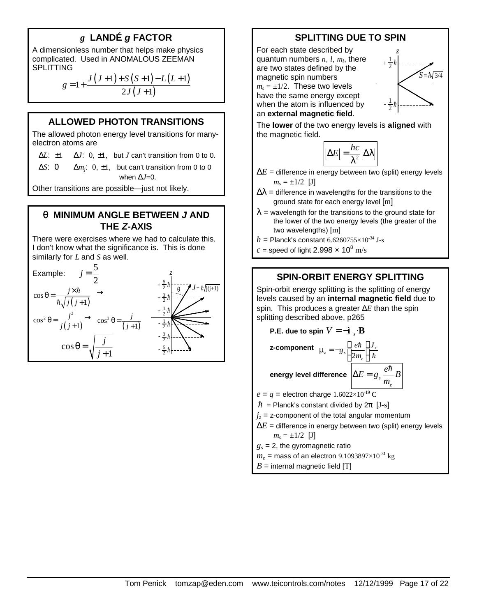# *g* **LANDÉ** *g* **FACTOR**

A dimensionless number that helps make physics complicated. Used in ANOMALOUS ZEEMAN **SPLITTING** 

$$
g = 1 + \frac{J (J+1) + S (S+1) - L (L+1)}{2J (J+1)}
$$

#### **ALLOWED PHOTON TRANSITIONS**

The allowed photon energy level transitions for manyelectron atoms are

Δ*L*: ±1 Δ*J*: 0, ±1, but *J* can't transition from 0 to 0.

Δ*S*: 0 Δ*m<sup>j</sup>*  $\Delta m_i$ : 0,  $\pm 1$ , but can't transition from 0 to 0 when Δ*J*=0.

Other transitions are possible—just not likely.

#### **q MINIMUM ANGLE BETWEEN** *J* **AND THE** *Z***-AXIS**

There were exercises where we had to calculate this. I don't know what the significance is. This is done similarly for *L* and *S* as well.



### **SPLITTING DUE TO SPIN**

For each state described by quantum numbers *n*, *l*, *m<sup>l</sup>* , there are two states defined by the magnetic spin numbers  $m_s = \pm 1/2$ . These two levels have the same energy except when the atom is influenced by an **external magnetic field**.



The **lower** of the two energy levels is **aligned** with the magnetic field.



- $\Delta E$  = difference in energy between two (split) energy levels  $m_s = \pm 1/2$  [J]
- $\Delta\lambda$  = difference in wavelengths for the transitions to the ground state for each energy level [m]
- $\lambda$  = wavelength for the transitions to the ground state for the lower of the two energy levels (the greater of the two wavelengths) [m]
- $h =$  Planck's constant 6.6260755 $\times$ 10<sup>-34</sup> J-s
- $c$  = speed of light 2.998  $\times$  10<sup>8</sup> m/s

#### **SPIN-ORBIT ENERGY SPLITTING**

Spin-orbit energy splitting is the splitting of energy levels caused by an **internal magnetic field** due to spin. This produces a greater Δ*E* than the spin splitting described above. p265

P.E. due to spin 
$$
V = -\hat{\mathbf{i}}_s \cdot \mathbf{B}
$$
  
\nz-component  $\mu_z = -g_s \left( \frac{e\hbar}{2m_e} \right) \frac{J_z}{\hbar}$   
\nenergy level difference  $\Delta E = g_s \frac{e\hbar}{m_e} B$   
\n $e = q$  = electron charge 1.6022×10<sup>-19</sup> C  
\n $\hbar$  = Planck's constant divided by 2π [J-s]  
\n $j_z$  = z-component of the total angular momentum  
\n $\Delta E$  = difference in energy between two (split) energy levels  
\n $m_s = \pm 1/2$  [J]  
\n $g_s = 2$ , the gyromagnetic ratio

 $m_e$  = mass of an electron 9.1093897×10<sup>-31</sup> kg

 $B =$  internal magnetic field [T]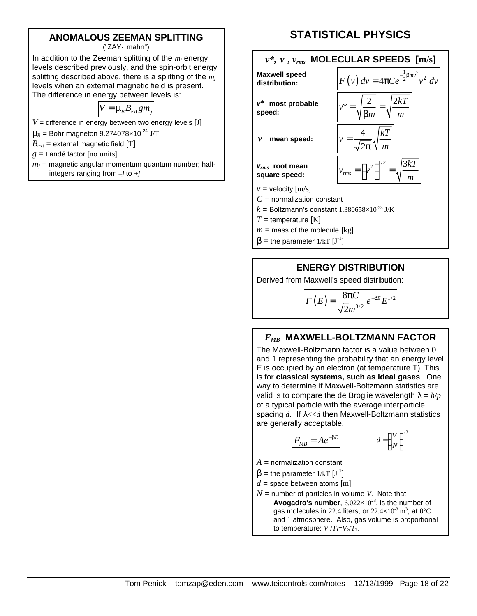#### **ANOMALOUS ZEEMAN SPLITTING**

("ZAY· mahn")

In addition to the Zeeman splitting of the  $m_l$  energy levels described previously, and the spin-orbit energy splitting described above, there is a splitting of the *m<sup>j</sup>* levels when an external magnetic field is present. The difference in energy between levels is:

$$
V = \mu_B B_{\text{ext}} g m_j
$$

 $V =$  difference in energy between two energy levels  $[J]$ 

 $\mu_B$  = Bohr magneton 9.274078×10<sup>-24</sup> J/T

 $B_{\text{ext}}$  = external magnetic field [T]

*g* = Landé factor [no units]

 $m_j$  = magnetic angular momentum quantum number; halfintegers ranging from  $-i$  to  $+i$ 

# **STATISTICAL PHYSICS**



 $T =$  temperature [K]

- $m =$  mass of the molecule  $\lceil \text{kg} \rceil$
- $\beta$  = the parameter 1/kT  $[J^{-1}]$

#### **ENERGY DISTRIBUTION**

Derived from Maxwell's speed distribution:

$$
F(E) = \frac{8\pi C}{\sqrt{2}m^{3/2}}e^{-\beta E}E^{1/2}
$$

#### *FMB* **MAXWELL-BOLTZMANN FACTOR**

The Maxwell-Boltzmann factor is a value between 0 and 1 representing the probability that an energy level E is occupied by an electron (at temperature T). This is for **classical systems, such as ideal gases**. One way to determine if Maxwell-Boltzmann statistics are valid is to compare the de Broglie wavelength  $\lambda = h/p$ of a typical particle with the average interparticle spacing *d*. If λ<<*d* then Maxwell-Boltzmann statistics are generally acceptable.

$$
F_{MB} = Ae^{-\beta E} \qquad d = \left(\frac{V}{N}\right)^{1/3}
$$

 $A =$  normalization constant

 $\beta$  = the parameter 1/kT  $[J^{-1}]$ 

 $d =$  space between atoms [m]

*N* = number of particles in volume *V*. Note that **Avogadro's number,**  $6.022 \times 10^{23}$ , is the number of gas molecules in 22.4 liters, or  $22.4\times10^{3}$  m<sup>3</sup>, at 0°C and 1 atmosphere. Also, gas volume is proportional to temperature:  $V_1/T_1=V_2/T_2$ .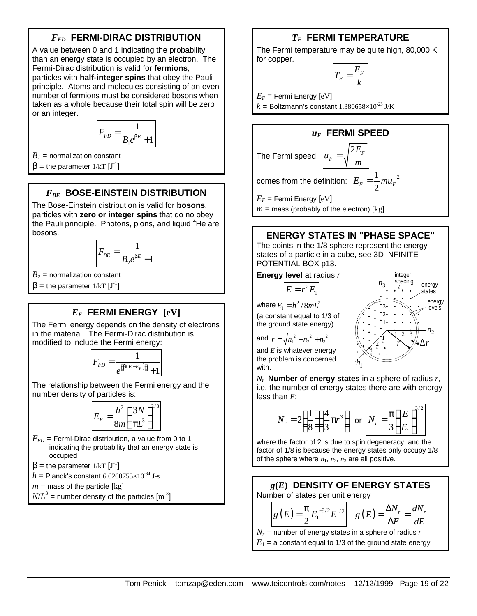# *FFD* **FERMI-DIRAC DISTRIBUTION**

A value between 0 and 1 indicating the probability than an energy state is occupied by an electron. The Fermi-Dirac distribution is valid for **fermions**, particles with **half-integer spins** that obey the Pauli principle. Atoms and molecules consisting of an even number of fermions must be considered bosons when taken as a whole because their total spin will be zero or an integer.

$$
F_{FD} = \frac{1}{B_1 e^{\beta E} + 1}
$$

 $B<sub>1</sub>$  = normalization constant

 $\beta$  = the parameter 1/kT  $[J^{-1}]$ 

## *FBE* **BOSE-EINSTEIN DISTRIBUTION**

The Bose-Einstein distribution is valid for **bosons**, particles with **zero or integer spins** that do no obey the Pauli principle. Photons, pions, and liquid  ${}^{4}$ He are bosons.

$$
F_{BE} = \frac{1}{B_2 e^{\beta E} - 1}
$$

 $B_2$  = normalization constant

 $β =$  the parameter 1/kT  $[J<sup>-1</sup>]$ 

### *EF* **FERMI ENERGY [eV]**

The Fermi energy depends on the density of electrons in the material. The Fermi-Dirac distribution is modified to include the Fermi energy:

$$
F_{FD} = \frac{1}{e^{\left[\beta\left(E - E_F\right)\right]} + 1}
$$

The relationship between the Fermi energy and the number density of particles is:

$$
E_F = \frac{h^2}{8m} \left(\frac{3N}{\pi L^3}\right)^{2/3}
$$

 $F_{FD}$  = Fermi-Dirac distribution, a value from 0 to 1 indicating the probability that an energy state is occupied

 $\beta$  = the parameter 1/kT  $[J^{-1}]$ 

$$
h
$$
 = Planck's constant  $6.6260755 \times 10^{-34}$  J-s

 $m =$  mass of the particle [kg]

 $N\!/\!L^3$  = number density of the particles  ${\rm [m^{\text{-}3}]}$ 

## *TF* **FERMI TEMPERATURE**

The Fermi temperature may be quite high, 80,000 K for copper.

$$
T_F = \frac{E_F}{k}
$$

 $E_F$  = Fermi Energy  $[eV]$ 

 $k =$  Boltzmann's constant 1.380658×10<sup>-23</sup> J/K



## **ENERGY STATES IN "PHASE SPACE"**

The points in the 1/8 sphere represent the energy states of a particle in a cube, see 3D INFINITE POTENTIAL BOX p13.

#### **Energy level** at radius *r*

$$
E=r^2E_1
$$

where  $E_1 = h^2 / 8mL^2$ (a constant equal to 1/3 of

the ground state energy)

and 
$$
r = \sqrt{n_1^2 + n_2^2 + n_3^2}
$$

and *E* is whatever energy the problem is concerned with.



*Nr*  **Number of energy states** in a sphere of radius *r*, i.e. the number of energy states there are with energy less than *E*:

$$
N_r = 2\left(\frac{1}{8}\right)\left(\frac{4}{3}\pi r^3\right)
$$
 or 
$$
N_r = \frac{\pi}{3}\left(\frac{E}{E_1}\right)^{3/2}
$$

where the factor of 2 is due to spin degeneracy, and the factor of 1/8 is because the energy states only occupy 1/8 of the sphere where  $n_1$ ,  $n_2$ ,  $n_3$  are all positive.



 $E_1$  = a constant equal to 1/3 of the ground state energy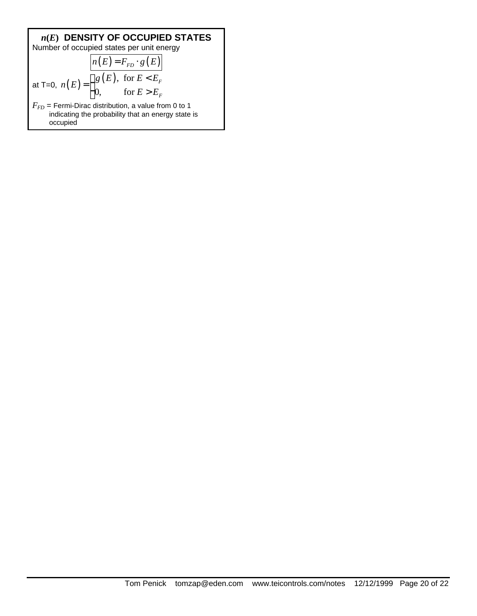*n(E)* **DENSITY OF OCCUPIED STATES**  
Number of occupied states per unit energy  

$$
n(E) = F_{FD} \cdot g(E)
$$
  
at T=0,  $n(E) = \begin{cases} g(E), \text{ for } E < E_F \\ 0, \text{ for } E > E_F \end{cases}$   
 $F_{FD}$  = Fermi-Dirac distribution, a value from 0 to 1  
indicating the probability that an energy state is occupied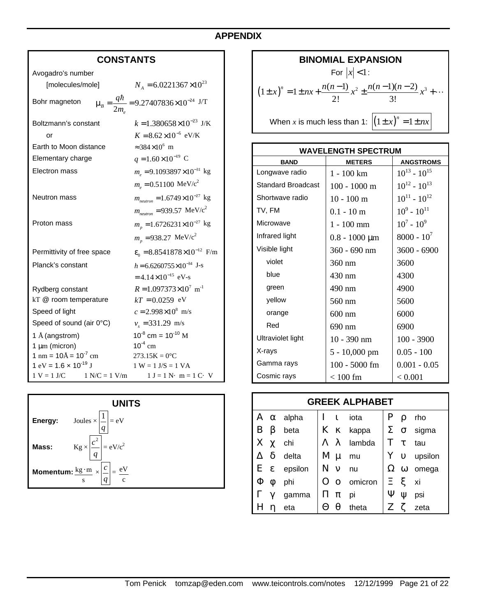# **APPENDIX**

# **CONSTANTS**

| Avogadro's number                                   |                                                                      |
|-----------------------------------------------------|----------------------------------------------------------------------|
| [molecules/mole]                                    | $N_A = 6.0221367 \times 10^{23}$                                     |
| Bohr magneton                                       | $\mu_B = \frac{q\hbar}{2m} = 9.27407836 \times 10^{-24} \text{ J/T}$ |
| Boltzmann's constant                                | $k = 1.380658 \times 10^{-23}$ J/K                                   |
| or                                                  | $K = 8.62 \times 10^{-5}$ eV/K                                       |
| Earth to Moon distance                              | $\approx 384 \times 10^6$ m                                          |
| Elementary charge                                   | $q = 1.60 \times 10^{-19}$ C                                         |
| Electron mass                                       | $m_e = 9.1093897 \times 10^{-31}$ kg                                 |
|                                                     | $m_e = 0.51100$ MeV/c <sup>2</sup>                                   |
| <b>Neutron mass</b>                                 | $m_{neutron} = 1.6749 \times 10^{-27}$ kg                            |
|                                                     | $m_{\text{neutron}} = 939.57 \text{ MeV}/c^2$                        |
| Proton mass                                         | $m_p = 1.6726231 \times 10^{-27}$ kg                                 |
|                                                     | $m_p = 938.27 \text{ MeV}/c^2$                                       |
| Permittivity of free space                          | $\varepsilon_0 = 8.8541878 \times 10^{-12}$ F/m                      |
| Planck's constant                                   | $h = 6.6260755 \times 10^{-34}$ J-s                                  |
|                                                     | $=4.14\times10^{-15}$ eV-s                                           |
| Rydberg constant                                    | $R = 1.097373 \times 10^7$ m <sup>-1</sup>                           |
| kT @ room temperature                               | $kT = 0.0259$ eV                                                     |
| Speed of light                                      | $c = 2.998 \times 10^8$ m/s                                          |
| Speed of sound (air 0°C)                            | $v_s = 331.29$ m/s                                                   |
| 1 Å (angstrom)                                      | $10^{-8}$ cm = $10^{-10}$ M                                          |
| $1 \mu m$ (micron)                                  | $10^{-4}$ cm                                                         |
| $1 \text{ nm} = 10 \text{\AA} = 10^{-7} \text{ cm}$ | $273.15K = 0$ <sup>o</sup> C                                         |
| $1 \text{ eV} = 1.6 \times 10^{-19} \text{ J}$      | $1 W = 1 J/S = 1 VA$                                                 |
| $1 N/C = 1 V/m$<br>$1 V = 1 J/C$                    | $1 J = 1 N \cdot m = 1 C \cdot V$                                    |



| <b>BINOMIAL EXPANSION</b>                                                                |  |
|------------------------------------------------------------------------------------------|--|
| For $ x $ < 1:                                                                           |  |
| $(1 \pm x)^n = 1 \pm nx + \frac{n(n-1)}{2!} x^2 \pm \frac{n(n-1)(n-2)}{3!} x^3 + \cdots$ |  |
| When x is much less than 1: $ (1 \pm x)^n = 1 \pm nx $                                   |  |

| <b>WAVELENGTH SPECTRUM</b> |                      |                     |  |  |  |  |
|----------------------------|----------------------|---------------------|--|--|--|--|
| <b>BAND</b>                | <b>METERS</b>        | <b>ANGSTROMS</b>    |  |  |  |  |
| Longwave radio             | 1 - 100 km           | $10^{13} - 10^{15}$ |  |  |  |  |
| <b>Standard Broadcast</b>  | $100 - 1000$ m       | $10^{12} - 10^{13}$ |  |  |  |  |
| Shortwave radio            | $10 - 100$ m         | $10^{11} - 10^{12}$ |  |  |  |  |
| TV, FM                     | $0.1 - 10 \text{ m}$ | $10^9 - 10^{11}$    |  |  |  |  |
| Microwave                  | $1 - 100$ mm         | $10^7 - 10^9$       |  |  |  |  |
| Infrared light             | $0.8 - 1000 \mu m$   | $8000 - 10^{7}$     |  |  |  |  |
| Visible light              | 360 - 690 nm         | $3600 - 6900$       |  |  |  |  |
| violet                     | 360 nm               | 3600                |  |  |  |  |
| blue                       | 430 nm               | 4300                |  |  |  |  |
| green                      | 490 nm               | 4900                |  |  |  |  |
| yellow                     | 560 nm               | 5600                |  |  |  |  |
| orange                     | $600$ nm             | 6000                |  |  |  |  |
| Red                        | 690 nm               | 6900                |  |  |  |  |
| Ultraviolet light          | $10 - 390$ nm        | $100 - 3900$        |  |  |  |  |
| X-rays                     | 5 - 10,000 pm        | $0.05 - 100$        |  |  |  |  |
| Gamma rays                 | 100 - 5000 fm        | $0.001 - 0.05$      |  |  |  |  |
| Cosmic rays                | $< 100$ fm           | < 0.001             |  |  |  |  |

| <b>GREEK ALPHABET</b> |   |                      |              |          |           |              |          |                         |
|-----------------------|---|----------------------|--------------|----------|-----------|--------------|----------|-------------------------|
| A                     |   | $\alpha$ alpha       | $\mathbf{I}$ | 1        | iota      | $\mathbf{P}$ | ρ        | rho                     |
| B                     | β | beta                 |              |          | K K kappa | Σ            | $\sigma$ | sigma                   |
| $X \chi$              |   | chi                  | Λλ           |          | lambda    | T            | τ        | tau                     |
|                       | δ | delta                | $M \mu$      |          | mu        |              |          | $Y$ v upsilon           |
|                       |   | $E \epsilon$ epsilon | $N \nu$      |          | nu        |              |          | $\Omega$ $\omega$ omega |
| Φ                     | Ø | phi                  |              | $\Omega$ | omicron   |              | ミミ       | xi                      |
|                       |   | gamma                | $\Pi \pi$    |          | pi        | Ψ            | W        | psi                     |
|                       |   | eta                  | $\Theta$     | θ        | theta     |              |          | zeta                    |